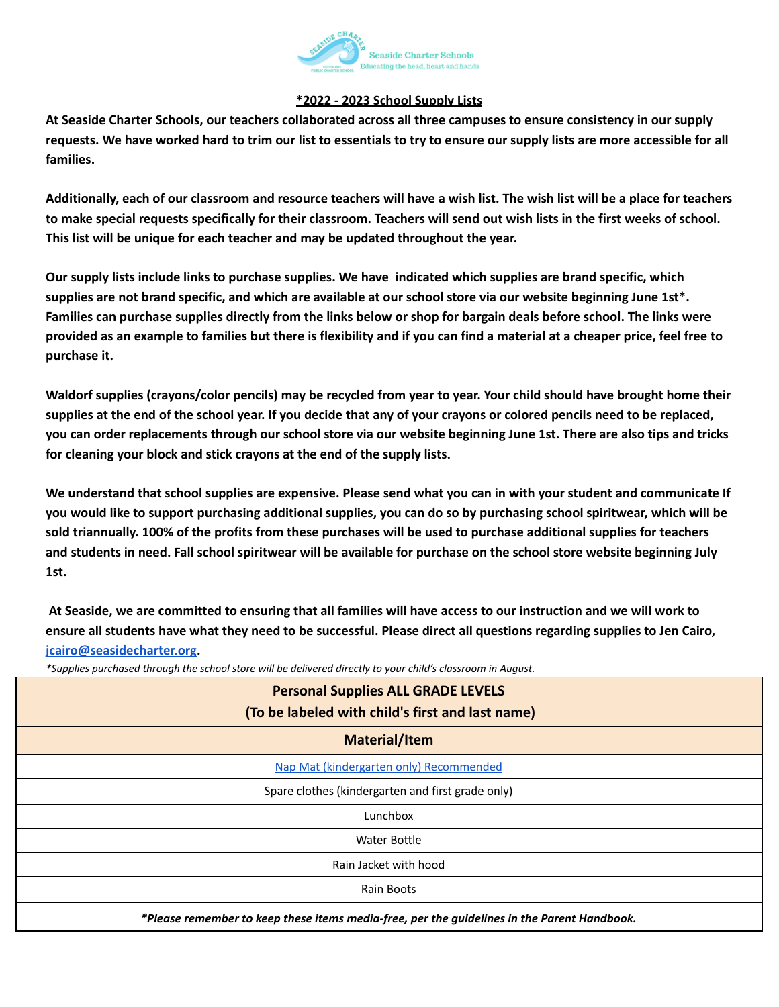

## **\*2022 - 2023 School Supply Lists**

At Seaside Charter Schools, our teachers collaborated across all three campuses to ensure consistency in our supply requests. We have worked hard to trim our list to essentials to try to ensure our supply lists are more accessible for all **families.**

Additionally, each of our classroom and resource teachers will have a wish list. The wish list will be a place for teachers to make special requests specifically for their classroom. Teachers will send out wish lists in the first weeks of school. **This list will be unique for each teacher and may be updated throughout the year.**

Our supply lists include links to purchase supplies. We have indicated which supplies are brand specific, which supplies are not brand specific, and which are available at our school store via our website beginning June 1st\*. Families can purchase supplies directly from the links below or shop for bargain deals before school. The links were provided as an example to families but there is flexibility and if you can find a material at a cheaper price, feel free to **purchase it.**

Waldorf supplies (crayons/color pencils) may be recycled from year to year. Your child should have brought home their supplies at the end of the school year. If you decide that any of your crayons or colored pencils need to be replaced, you can order replacements through our school store via our website beginning June 1st. There are also tips and tricks **for cleaning your block and stick crayons at the end of the supply lists.**

We understand that school supplies are expensive. Please send what you can in with your student and communicate If you would like to support purchasing additional supplies, you can do so by purchasing school spiritwear, which will be sold triannually. 100% of the profits from these purchases will be used to purchase additional supplies for teachers and students in need. Fall school spiritwear will be available for purchase on the school store website beginning July **1st.**

At Seaside, we are committed to ensuring that all families will have access to our instruction and we will work to ensure all students have what they need to be successful. Please direct all questions regarding supplies to Jen Cairo,

## **[jcairo@seasidecharter.org.](mailto:jcairo@seasidecharter.org)**

*\*Supplies purchased through the school store will be delivered directly to your child's classroom in August.*

| <b>Personal Supplies ALL GRADE LEVELS</b><br>(To be labeled with child's first and last name) |
|-----------------------------------------------------------------------------------------------|
| <b>Material/Item</b>                                                                          |
| Nap Mat (kindergarten only) Recommended                                                       |
| Spare clothes (kindergarten and first grade only)                                             |
| Lunchbox                                                                                      |
| <b>Water Bottle</b>                                                                           |
| Rain Jacket with hood                                                                         |
| Rain Boots                                                                                    |
| *Please remember to keep these items media-free, per the guidelines in the Parent Handbook.   |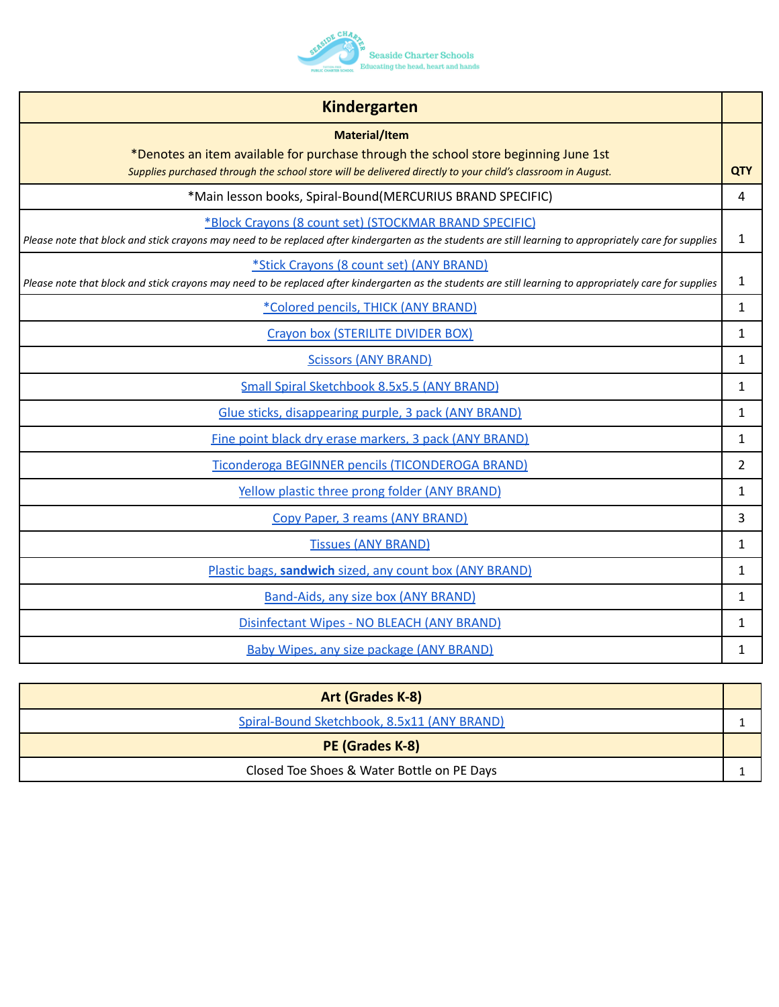

| <b>Kindergarten</b>                                                                                                                                                                                                        |                |
|----------------------------------------------------------------------------------------------------------------------------------------------------------------------------------------------------------------------------|----------------|
| <b>Material/Item</b><br>*Denotes an item available for purchase through the school store beginning June 1st<br>Supplies purchased through the school store will be delivered directly to your child's classroom in August. | <b>QTY</b>     |
| *Main lesson books, Spiral-Bound(MERCURIUS BRAND SPECIFIC)                                                                                                                                                                 | 4              |
| *Block Crayons (8 count set) (STOCKMAR BRAND SPECIFIC)<br>Please note that block and stick crayons may need to be replaced after kindergarten as the students are still learning to appropriately care for supplies        | 1              |
| *Stick Crayons (8 count set) (ANY BRAND)<br>Please note that block and stick crayons may need to be replaced after kindergarten as the students are still learning to appropriately care for supplies                      | $\mathbf{1}$   |
| *Colored pencils, THICK (ANY BRAND)                                                                                                                                                                                        | $\mathbf{1}$   |
| Crayon box (STERILITE DIVIDER BOX)                                                                                                                                                                                         | 1              |
| <b>Scissors (ANY BRAND)</b>                                                                                                                                                                                                | $\mathbf{1}$   |
| Small Spiral Sketchbook 8.5x5.5 (ANY BRAND)                                                                                                                                                                                | $\mathbf{1}$   |
| Glue sticks, disappearing purple, 3 pack (ANY BRAND)                                                                                                                                                                       | $\mathbf{1}$   |
| Fine point black dry erase markers, 3 pack (ANY BRAND)                                                                                                                                                                     | $\mathbf{1}$   |
| Ticonderoga BEGINNER pencils (TICONDEROGA BRAND)                                                                                                                                                                           | $\overline{2}$ |
| Yellow plastic three prong folder (ANY BRAND)                                                                                                                                                                              | 1              |
| Copy Paper, 3 reams (ANY BRAND)                                                                                                                                                                                            | 3              |
| <b>Tissues (ANY BRAND)</b>                                                                                                                                                                                                 | $\mathbf{1}$   |
| Plastic bags, sandwich sized, any count box (ANY BRAND)                                                                                                                                                                    | 1              |
| Band-Aids, any size box (ANY BRAND)                                                                                                                                                                                        | $\mathbf{1}$   |
| Disinfectant Wipes - NO BLEACH (ANY BRAND)                                                                                                                                                                                 | $\mathbf{1}$   |
| <b>Baby Wipes, any size package (ANY BRAND)</b>                                                                                                                                                                            | 1              |

| Art (Grades K-8)                            |  |
|---------------------------------------------|--|
| Spiral-Bound Sketchbook, 8.5x11 (ANY BRAND) |  |
| PE (Grades K-8)                             |  |
| Closed Toe Shoes & Water Bottle on PE Days  |  |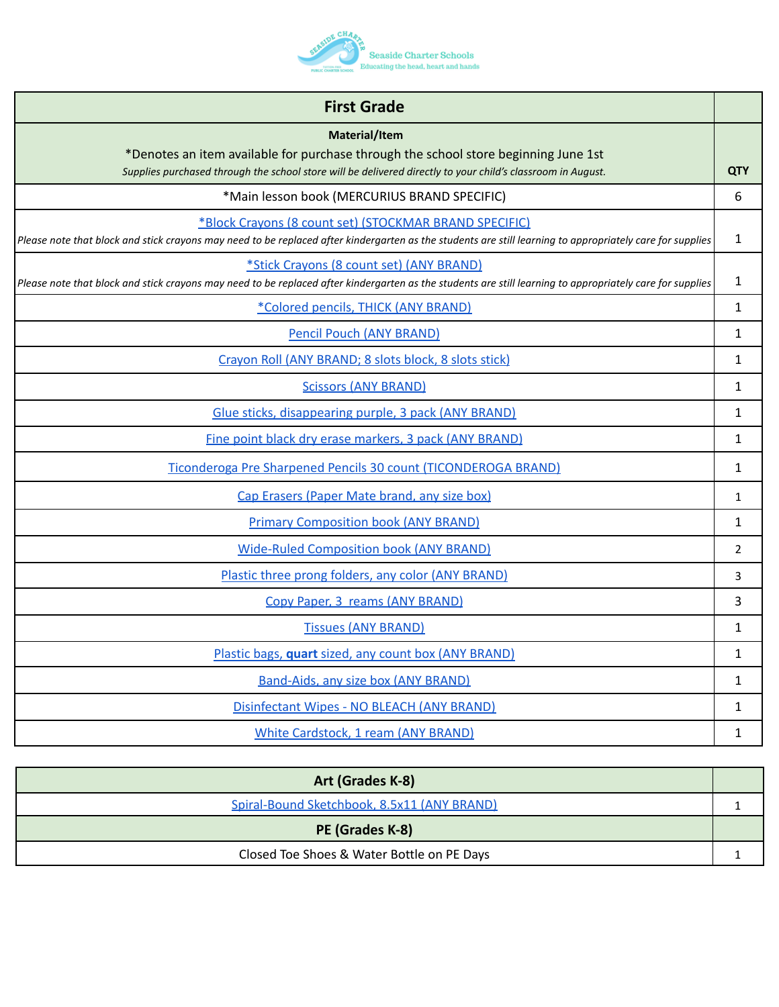

| <b>First Grade</b>                                                                                                                                                                                                  |                |
|---------------------------------------------------------------------------------------------------------------------------------------------------------------------------------------------------------------------|----------------|
| Material/Item<br>*Denotes an item available for purchase through the school store beginning June 1st<br>Supplies purchased through the school store will be delivered directly to your child's classroom in August. | <b>QTY</b>     |
| *Main lesson book (MERCURIUS BRAND SPECIFIC)                                                                                                                                                                        | 6              |
| *Block Crayons (8 count set) (STOCKMAR BRAND SPECIFIC)<br>Please note that block and stick crayons may need to be replaced after kindergarten as the students are still learning to appropriately care for supplies | 1              |
| *Stick Crayons (8 count set) (ANY BRAND)<br>Please note that block and stick crayons may need to be replaced after kindergarten as the students are still learning to appropriately care for supplies               | 1              |
| *Colored pencils, THICK (ANY BRAND)                                                                                                                                                                                 | 1              |
| <b>Pencil Pouch (ANY BRAND)</b>                                                                                                                                                                                     | $\mathbf{1}$   |
| Crayon Roll (ANY BRAND; 8 slots block, 8 slots stick)                                                                                                                                                               | 1              |
| <b>Scissors (ANY BRAND)</b>                                                                                                                                                                                         | $\mathbf{1}$   |
| Glue sticks, disappearing purple, 3 pack (ANY BRAND)                                                                                                                                                                | $\mathbf{1}$   |
| Fine point black dry erase markers, 3 pack (ANY BRAND)                                                                                                                                                              | $\mathbf{1}$   |
| Ticonderoga Pre Sharpened Pencils 30 count (TICONDEROGA BRAND)                                                                                                                                                      | $\mathbf{1}$   |
| Cap Erasers (Paper Mate brand, any size box)                                                                                                                                                                        | $\mathbf{1}$   |
| <b>Primary Composition book (ANY BRAND)</b>                                                                                                                                                                         | 1              |
| <b>Wide-Ruled Composition book (ANY BRAND)</b>                                                                                                                                                                      | $\overline{2}$ |
| Plastic three prong folders, any color (ANY BRAND)                                                                                                                                                                  | 3              |
| Copy Paper, 3 reams (ANY BRAND)                                                                                                                                                                                     | 3              |
| <b>Tissues (ANY BRAND)</b>                                                                                                                                                                                          | 1              |
| Plastic bags, quart sized, any count box (ANY BRAND)                                                                                                                                                                | $\mathbf{1}$   |
| <b>Band-Aids, any size box (ANY BRAND)</b>                                                                                                                                                                          | 1              |
| Disinfectant Wipes - NO BLEACH (ANY BRAND)                                                                                                                                                                          | $\mathbf{1}$   |
| White Cardstock, 1 ream (ANY BRAND)                                                                                                                                                                                 | 1              |

| Art (Grades K-8)                            |  |
|---------------------------------------------|--|
| Spiral-Bound Sketchbook, 8.5x11 (ANY BRAND) |  |
| PE (Grades K-8)                             |  |
| Closed Toe Shoes & Water Bottle on PE Days  |  |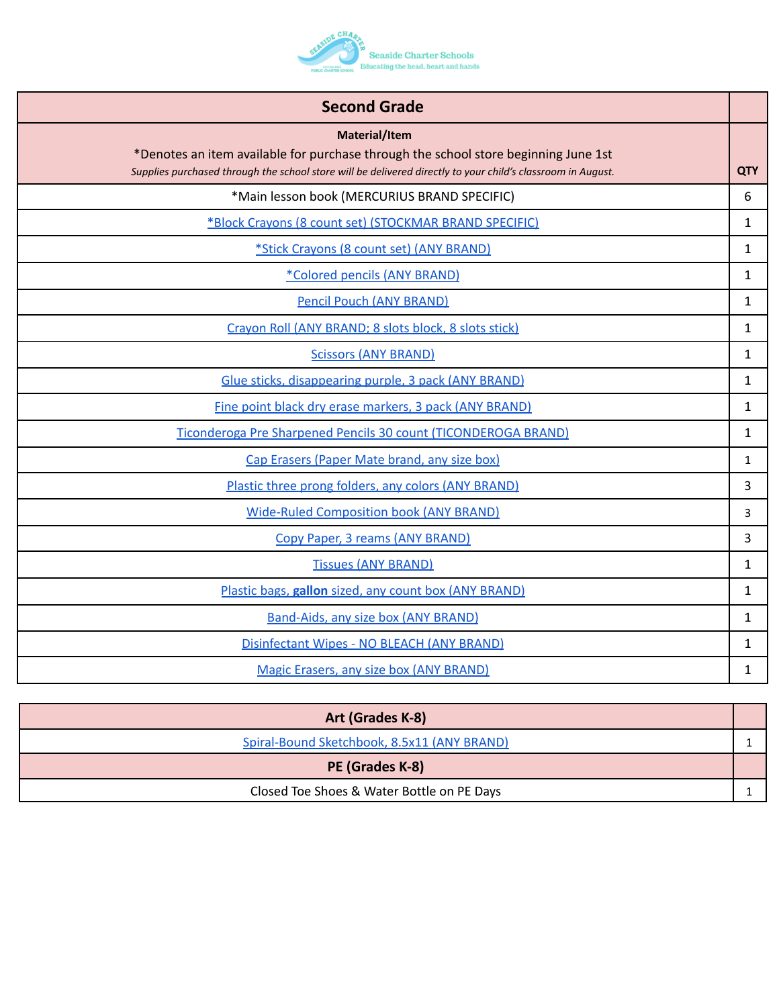

| <b>Second Grade</b>                                                                                                                                                                                                 |              |
|---------------------------------------------------------------------------------------------------------------------------------------------------------------------------------------------------------------------|--------------|
| Material/Item<br>*Denotes an item available for purchase through the school store beginning June 1st<br>Supplies purchased through the school store will be delivered directly to your child's classroom in August. | <b>QTY</b>   |
| *Main lesson book (MERCURIUS BRAND SPECIFIC)                                                                                                                                                                        | 6            |
| *Block Crayons (8 count set) (STOCKMAR BRAND SPECIFIC)                                                                                                                                                              | $\mathbf{1}$ |
| *Stick Crayons (8 count set) (ANY BRAND)                                                                                                                                                                            | 1            |
| *Colored pencils (ANY BRAND)                                                                                                                                                                                        | $\mathbf{1}$ |
| <b>Pencil Pouch (ANY BRAND)</b>                                                                                                                                                                                     | $\mathbf{1}$ |
| Crayon Roll (ANY BRAND; 8 slots block, 8 slots stick)                                                                                                                                                               | 1            |
| <b>Scissors (ANY BRAND)</b>                                                                                                                                                                                         | $\mathbf{1}$ |
| Glue sticks, disappearing purple, 3 pack (ANY BRAND)                                                                                                                                                                | $\mathbf{1}$ |
| Fine point black dry erase markers, 3 pack (ANY BRAND)                                                                                                                                                              | 1            |
| Ticonderoga Pre Sharpened Pencils 30 count (TICONDEROGA BRAND)                                                                                                                                                      | $\mathbf{1}$ |
| Cap Erasers (Paper Mate brand, any size box)                                                                                                                                                                        | $\mathbf{1}$ |
| Plastic three prong folders, any colors (ANY BRAND)                                                                                                                                                                 | 3            |
| <b>Wide-Ruled Composition book (ANY BRAND)</b>                                                                                                                                                                      | 3            |
| Copy Paper, 3 reams (ANY BRAND)                                                                                                                                                                                     | 3            |
| <b>Tissues (ANY BRAND)</b>                                                                                                                                                                                          | 1            |
| Plastic bags, gallon sized, any count box (ANY BRAND)                                                                                                                                                               | $\mathbf{1}$ |
| Band-Aids, any size box (ANY BRAND)                                                                                                                                                                                 | $\mathbf{1}$ |
| Disinfectant Wipes - NO BLEACH (ANY BRAND)                                                                                                                                                                          | 1            |
| Magic Erasers, any size box (ANY BRAND)                                                                                                                                                                             | 1            |

| Art (Grades K-8)                            |  |
|---------------------------------------------|--|
| Spiral-Bound Sketchbook, 8.5x11 (ANY BRAND) |  |
| PE (Grades K-8)                             |  |
| Closed Toe Shoes & Water Bottle on PE Days  |  |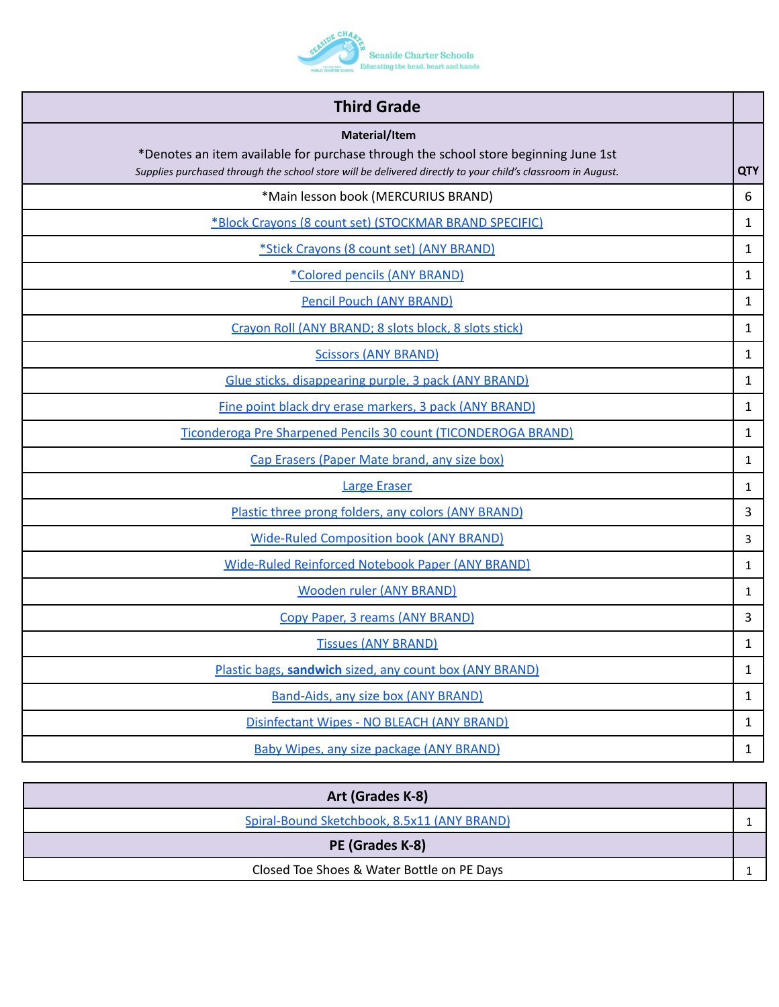

| <b>Third Grade</b>                                                                                          |              |
|-------------------------------------------------------------------------------------------------------------|--------------|
| Material/Item<br>*Denotes an item available for purchase through the school store beginning June 1st        |              |
| Supplies purchased through the school store will be delivered directly to your child's classroom in August. | <b>QTY</b>   |
| *Main lesson book (MERCURIUS BRAND)                                                                         | 6            |
| *Block Crayons (8 count set) (STOCKMAR BRAND SPECIFIC)                                                      | 1            |
| *Stick Crayons (8 count set) (ANY BRAND)                                                                    | $\mathbf{1}$ |
| *Colored pencils (ANY BRAND)                                                                                | 1            |
| <b>Pencil Pouch (ANY BRAND)</b>                                                                             | 1            |
| Crayon Roll (ANY BRAND; 8 slots block, 8 slots stick)                                                       | $\mathbf{1}$ |
| <b>Scissors (ANY BRAND)</b>                                                                                 | 1            |
| Glue sticks, disappearing purple, 3 pack (ANY BRAND)                                                        | 1            |
| Fine point black dry erase markers, 3 pack (ANY BRAND)                                                      | 1            |
| Ticonderoga Pre Sharpened Pencils 30 count (TICONDEROGA BRAND)                                              | 1            |
| Cap Erasers (Paper Mate brand, any size box)                                                                | 1            |
| <b>Large Eraser</b>                                                                                         | 1            |
| Plastic three prong folders, any colors (ANY BRAND)                                                         | 3            |
| <b>Wide-Ruled Composition book (ANY BRAND)</b>                                                              | 3            |
| Wide-Ruled Reinforced Notebook Paper (ANY BRAND)                                                            | 1            |
| <b>Wooden ruler (ANY BRAND)</b>                                                                             | 1            |
| Copy Paper, 3 reams (ANY BRAND)                                                                             | 3            |
| <b>Tissues (ANY BRAND)</b>                                                                                  | 1            |
| Plastic bags, sandwich sized, any count box (ANY BRAND)                                                     | $\mathbf{1}$ |
| <b>Band-Aids, any size box (ANY BRAND)</b>                                                                  | $\mathbf{1}$ |
| Disinfectant Wipes - NO BLEACH (ANY BRAND)                                                                  | $\mathbf{1}$ |
| <b>Baby Wipes, any size package (ANY BRAND)</b>                                                             | $\mathbf{1}$ |

| Art (Grades K-8)                            |  |
|---------------------------------------------|--|
| Spiral-Bound Sketchbook, 8.5x11 (ANY BRAND) |  |
| PE (Grades K-8)                             |  |
| Closed Toe Shoes & Water Bottle on PE Days  |  |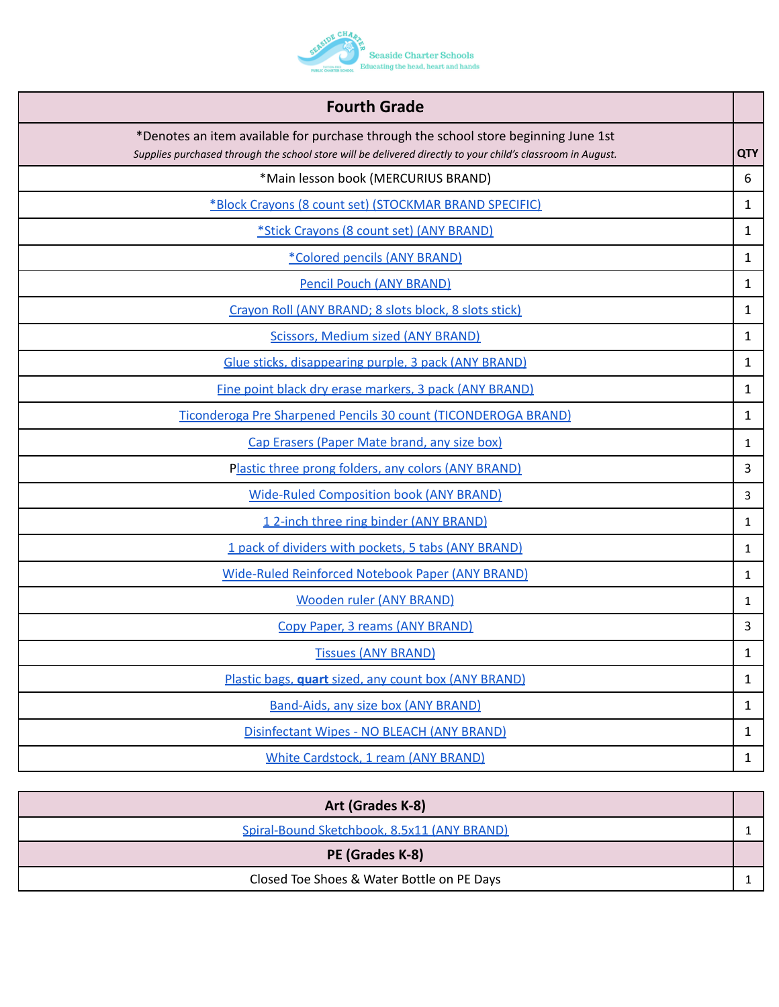

| <b>Fourth Grade</b>                                                                                                                                                                                |              |
|----------------------------------------------------------------------------------------------------------------------------------------------------------------------------------------------------|--------------|
| *Denotes an item available for purchase through the school store beginning June 1st<br>Supplies purchased through the school store will be delivered directly to your child's classroom in August. | <b>QTY</b>   |
| *Main lesson book (MERCURIUS BRAND)                                                                                                                                                                | 6            |
| *Block Crayons (8 count set) (STOCKMAR BRAND SPECIFIC)                                                                                                                                             | 1            |
| *Stick Crayons (8 count set) (ANY BRAND)                                                                                                                                                           | 1            |
| *Colored pencils (ANY BRAND)                                                                                                                                                                       | 1            |
| <b>Pencil Pouch (ANY BRAND)</b>                                                                                                                                                                    | $\mathbf{1}$ |
| Crayon Roll (ANY BRAND; 8 slots block, 8 slots stick)                                                                                                                                              | 1            |
| <b>Scissors, Medium sized (ANY BRAND)</b>                                                                                                                                                          | $\mathbf{1}$ |
| Glue sticks, disappearing purple, 3 pack (ANY BRAND)                                                                                                                                               | $\mathbf{1}$ |
| Fine point black dry erase markers, 3 pack (ANY BRAND)                                                                                                                                             | $\mathbf{1}$ |
| Ticonderoga Pre Sharpened Pencils 30 count (TICONDEROGA BRAND)                                                                                                                                     | $\mathbf{1}$ |
| Cap Erasers (Paper Mate brand, any size box)                                                                                                                                                       | $\mathbf{1}$ |
| Plastic three prong folders, any colors (ANY BRAND)                                                                                                                                                | 3            |
| <b>Wide-Ruled Composition book (ANY BRAND)</b>                                                                                                                                                     | 3            |
| 12-inch three ring binder (ANY BRAND)                                                                                                                                                              | $\mathbf{1}$ |
| 1 pack of dividers with pockets, 5 tabs (ANY BRAND)                                                                                                                                                | 1            |
| Wide-Ruled Reinforced Notebook Paper (ANY BRAND)                                                                                                                                                   | 1            |
| <b>Wooden ruler (ANY BRAND)</b>                                                                                                                                                                    | 1            |
| Copy Paper, 3 reams (ANY BRAND)                                                                                                                                                                    | 3            |
| <b>Tissues (ANY BRAND)</b>                                                                                                                                                                         | 1            |
| Plastic bags, quart sized, any count box (ANY BRAND)                                                                                                                                               | $\mathbf{1}$ |
| <b>Band-Aids, any size box (ANY BRAND)</b>                                                                                                                                                         | $\mathbf{1}$ |
| Disinfectant Wipes - NO BLEACH (ANY BRAND)                                                                                                                                                         | $\mathbf{1}$ |
| <b>White Cardstock, 1 ream (ANY BRAND)</b>                                                                                                                                                         | $\mathbf{1}$ |

| Art (Grades K-8)                            |  |
|---------------------------------------------|--|
| Spiral-Bound Sketchbook, 8.5x11 (ANY BRAND) |  |
| PE (Grades K-8)                             |  |
| Closed Toe Shoes & Water Bottle on PE Days  |  |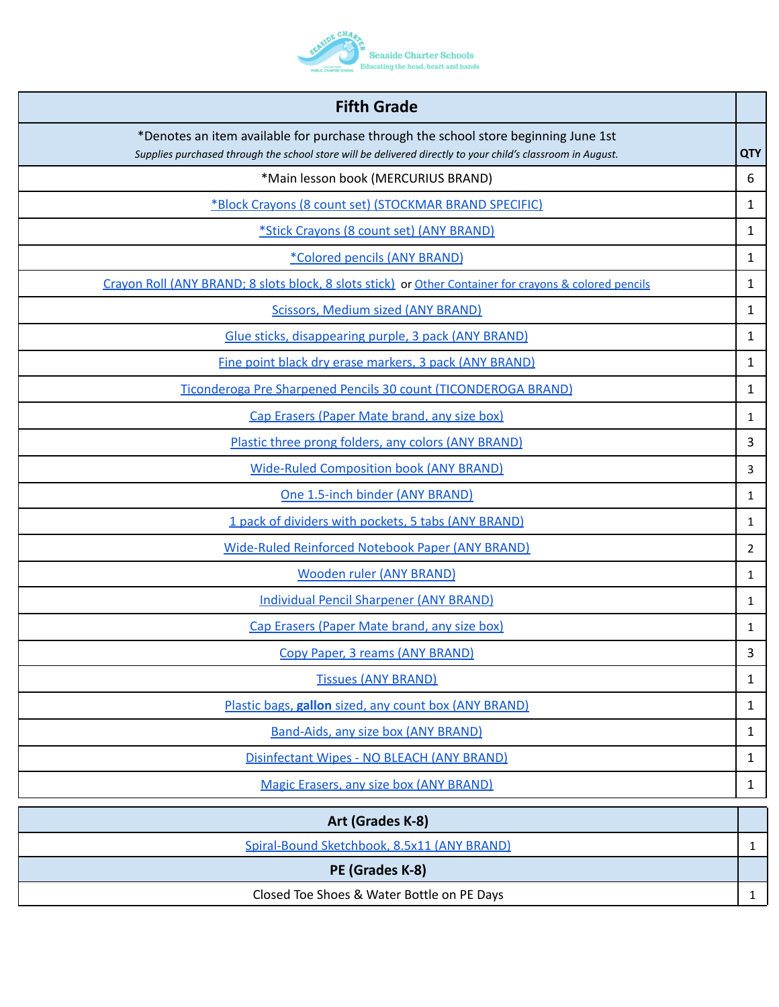

| <b>Fifth Grade</b>                                                                                                                                                                                 |                |
|----------------------------------------------------------------------------------------------------------------------------------------------------------------------------------------------------|----------------|
| *Denotes an item available for purchase through the school store beginning June 1st<br>Supplies purchased through the school store will be delivered directly to your child's classroom in August. | <b>QTY</b>     |
| *Main lesson book (MERCURIUS BRAND)                                                                                                                                                                | 6              |
| *Block Crayons (8 count set) (STOCKMAR BRAND SPECIFIC)                                                                                                                                             | 1              |
| *Stick Crayons (8 count set) (ANY BRAND)                                                                                                                                                           | 1              |
| *Colored pencils (ANY BRAND)                                                                                                                                                                       | 1              |
| Crayon Roll (ANY BRAND; 8 slots block, 8 slots stick) or Other Container for crayons & colored pencils                                                                                             | 1              |
| <b>Scissors, Medium sized (ANY BRAND)</b>                                                                                                                                                          | 1              |
| Glue sticks, disappearing purple, 3 pack (ANY BRAND)                                                                                                                                               | 1              |
| Fine point black dry erase markers, 3 pack (ANY BRAND)                                                                                                                                             | 1              |
| Ticonderoga Pre Sharpened Pencils 30 count (TICONDEROGA BRAND)                                                                                                                                     | 1              |
| Cap Erasers (Paper Mate brand, any size box)                                                                                                                                                       | 1              |
| Plastic three prong folders, any colors (ANY BRAND)                                                                                                                                                | 3              |
| <b>Wide-Ruled Composition book (ANY BRAND)</b>                                                                                                                                                     | 3              |
| One 1.5-inch binder (ANY BRAND)                                                                                                                                                                    | 1              |
| 1 pack of dividers with pockets, 5 tabs (ANY BRAND)                                                                                                                                                | 1              |
| Wide-Ruled Reinforced Notebook Paper (ANY BRAND)                                                                                                                                                   | $\overline{2}$ |
| <b>Wooden ruler (ANY BRAND)</b>                                                                                                                                                                    | 1              |
| <b>Individual Pencil Sharpener (ANY BRAND)</b>                                                                                                                                                     | 1              |
| Cap Erasers (Paper Mate brand, any size box)                                                                                                                                                       | 1              |
| Copy Paper, 3 reams (ANY BRAND)                                                                                                                                                                    | 3              |
| <b>Tissues (ANY BRAND)</b>                                                                                                                                                                         | 1              |
| Plastic bags, gallon sized, any count box (ANY BRAND)                                                                                                                                              | 1              |
| <b>Band-Aids, any size box (ANY BRAND)</b>                                                                                                                                                         | 1              |
| Disinfectant Wipes - NO BLEACH (ANY BRAND)                                                                                                                                                         | 1              |
| Magic Erasers, any size box (ANY BRAND)                                                                                                                                                            | $\mathbf{1}$   |
| Art (Grades K-8)                                                                                                                                                                                   |                |
| Spiral-Bound Sketchbook, 8.5x11 (ANY BRAND)                                                                                                                                                        | $\mathbf{1}$   |
| PE (Grades K-8)                                                                                                                                                                                    |                |
| Closed Toe Shoes & Water Bottle on PE Days                                                                                                                                                         | $\mathbf{1}$   |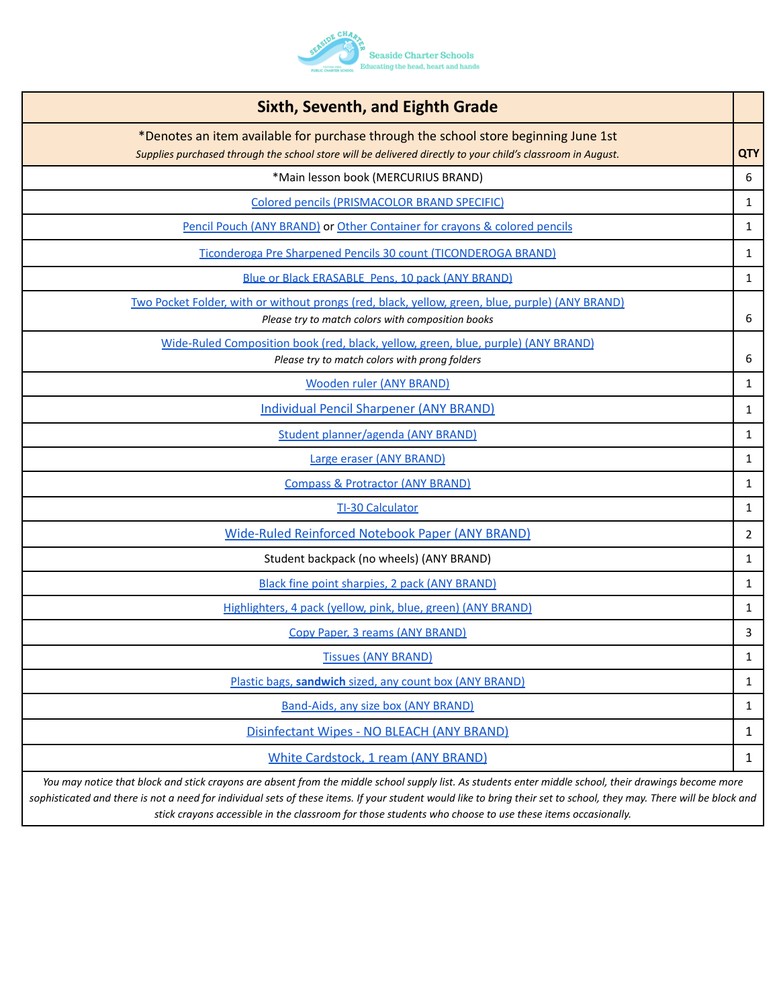

| <b>Sixth, Seventh, and Eighth Grade</b>                                                                                                                                                            |                |
|----------------------------------------------------------------------------------------------------------------------------------------------------------------------------------------------------|----------------|
| *Denotes an item available for purchase through the school store beginning June 1st<br>Supplies purchased through the school store will be delivered directly to your child's classroom in August. | <b>QTY</b>     |
| *Main lesson book (MERCURIUS BRAND)                                                                                                                                                                | 6              |
| Colored pencils (PRISMACOLOR BRAND SPECIFIC)                                                                                                                                                       | $\mathbf{1}$   |
| Pencil Pouch (ANY BRAND) or Other Container for crayons & colored pencils                                                                                                                          | $\mathbf{1}$   |
| Ticonderoga Pre Sharpened Pencils 30 count (TICONDEROGA BRAND)                                                                                                                                     | 1              |
| Blue or Black ERASABLE Pens, 10 pack (ANY BRAND)                                                                                                                                                   | $\mathbf{1}$   |
| Two Pocket Folder, with or without prongs (red, black, yellow, green, blue, purple) (ANY BRAND)<br>Please try to match colors with composition books                                               | 6              |
| Wide-Ruled Composition book (red, black, yellow, green, blue, purple) (ANY BRAND)<br>Please try to match colors with prong folders                                                                 | 6              |
| <b>Wooden ruler (ANY BRAND)</b>                                                                                                                                                                    | $\mathbf{1}$   |
| <b>Individual Pencil Sharpener (ANY BRAND)</b>                                                                                                                                                     | 1              |
| Student planner/agenda (ANY BRAND)                                                                                                                                                                 | $\mathbf{1}$   |
| Large eraser (ANY BRAND)                                                                                                                                                                           | $\mathbf{1}$   |
| <b>Compass &amp; Protractor (ANY BRAND)</b>                                                                                                                                                        | $\mathbf{1}$   |
| <b>TI-30 Calculator</b>                                                                                                                                                                            | 1              |
| Wide-Ruled Reinforced Notebook Paper (ANY BRAND)                                                                                                                                                   | $\overline{2}$ |
| Student backpack (no wheels) (ANY BRAND)                                                                                                                                                           | $\mathbf{1}$   |
| Black fine point sharpies, 2 pack (ANY BRAND)                                                                                                                                                      | $\mathbf{1}$   |
| Highlighters, 4 pack (yellow, pink, blue, green) (ANY BRAND)                                                                                                                                       | $\mathbf{1}$   |
| Copy Paper, 3 reams (ANY BRAND)                                                                                                                                                                    | 3              |
| <b>Tissues (ANY BRAND)</b>                                                                                                                                                                         | 1              |
| Plastic bags, sandwich sized, any count box (ANY BRAND)                                                                                                                                            | $\mathbf{1}$   |
| <b>Band-Aids, any size box (ANY BRAND)</b>                                                                                                                                                         | $\mathbf{1}$   |
| Disinfectant Wipes - NO BLEACH (ANY BRAND)                                                                                                                                                         | $\mathbf{1}$   |
| White Cardstock, 1 ream (ANY BRAND)                                                                                                                                                                | $\mathbf{1}$   |
|                                                                                                                                                                                                    |                |

*You may notice that block and stick crayons are absent from the middle school supply list. As students enter middle school, their drawings become more sophisticated and there is not a need for individual sets of these items. If your student would like to bring their set to school, they may. There will be block and stick crayons accessible in the classroom for those students who choose to use these items occasionally.*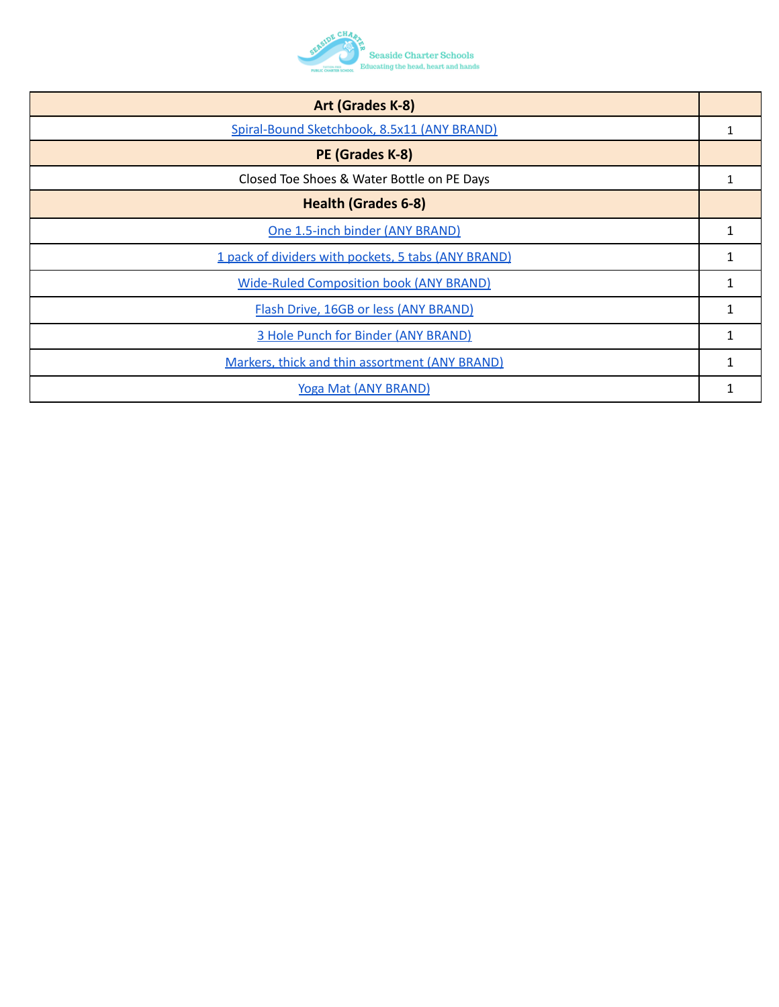

| Art (Grades K-8)                                    |   |
|-----------------------------------------------------|---|
| Spiral-Bound Sketchbook, 8.5x11 (ANY BRAND)         | 1 |
| PE (Grades K-8)                                     |   |
| Closed Toe Shoes & Water Bottle on PE Days          |   |
| <b>Health (Grades 6-8)</b>                          |   |
| One 1.5-inch binder (ANY BRAND)                     | 1 |
| 1 pack of dividers with pockets, 5 tabs (ANY BRAND) | 1 |
| <b>Wide-Ruled Composition book (ANY BRAND)</b>      | 1 |
| Flash Drive, 16GB or less (ANY BRAND)               |   |
| 3 Hole Punch for Binder (ANY BRAND)                 | 1 |
| Markers, thick and thin assortment (ANY BRAND)      | 1 |
| Yoga Mat (ANY BRAND)                                |   |